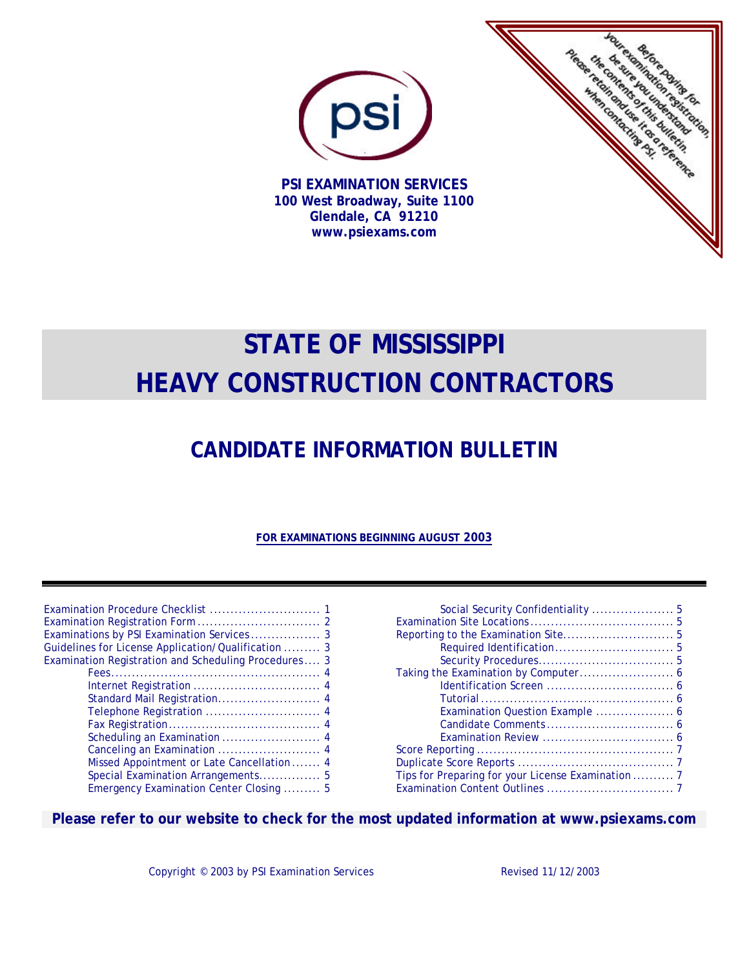

**PSI EXAMINATION SERVICES 100 West Broadway, Suite 1100 Glendale, CA 91210 www.psiexams.com**

# **STATE OF MISSISSIPPI HEAVY CONSTRUCTION CONTRACTORS**

## **CANDIDATE INFORMATION BULLETIN**

### **FOR EXAMINATIONS BEGINNING AUGUST 2003**

| Examinations by PSI Examination Services 3           |  |
|------------------------------------------------------|--|
| Guidelines for License Application/Qualification  3  |  |
| Examination Registration and Scheduling Procedures 3 |  |
|                                                      |  |
|                                                      |  |
| Standard Mail Registration 4                         |  |
|                                                      |  |
|                                                      |  |
|                                                      |  |
|                                                      |  |
| Missed Appointment or Late Cancellation  4           |  |
|                                                      |  |
| Emergency Examination Center Closing  5              |  |
|                                                      |  |

| Social Security Confidentiality  5                 |  |  |  |  |  |  |  |
|----------------------------------------------------|--|--|--|--|--|--|--|
|                                                    |  |  |  |  |  |  |  |
|                                                    |  |  |  |  |  |  |  |
|                                                    |  |  |  |  |  |  |  |
|                                                    |  |  |  |  |  |  |  |
|                                                    |  |  |  |  |  |  |  |
|                                                    |  |  |  |  |  |  |  |
|                                                    |  |  |  |  |  |  |  |
| Examination Question Example  6                    |  |  |  |  |  |  |  |
|                                                    |  |  |  |  |  |  |  |
|                                                    |  |  |  |  |  |  |  |
|                                                    |  |  |  |  |  |  |  |
|                                                    |  |  |  |  |  |  |  |
| Tips for Preparing for your License Examination  7 |  |  |  |  |  |  |  |
|                                                    |  |  |  |  |  |  |  |

**Ste Germany Street** range de drep.<br>Esperanton de drep.<br>Esperanton de drep. **When Contact** 

### **Please refer to our website to check for the most updated information at www.psiexams.com**

Copyright © 2003 by PSI Examination Services Revised 11/12/2003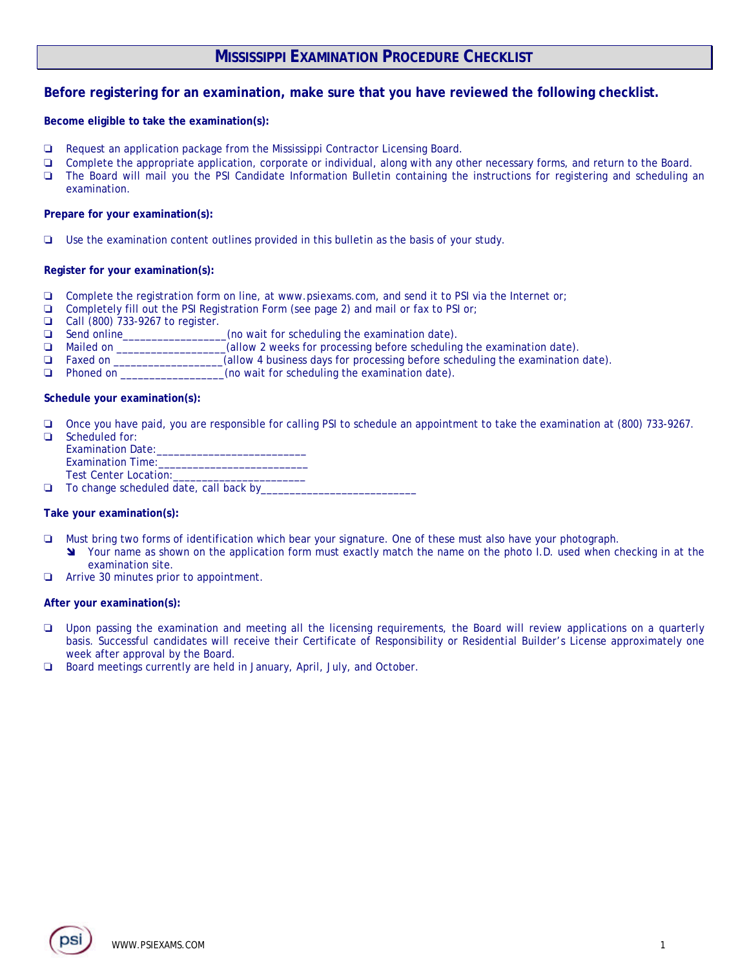### **MISSISSIPPI EXAMINATION PROCEDURE CHECKLIST**

### **Before registering for an examination, make sure that you have reviewed the following checklist.**

#### **Become eligible to take the examination(s):**

- **E** Request an application package from the Mississippi Contractor Licensing Board.
- □ Complete the appropriate application, corporate or individual, along with any other necessary forms, and return to the Board.
- ë The Board will mail you the PSI Candidate Information Bulletin containing the instructions for registering and scheduling an examination.

#### **Prepare for your examination(s):**

 $\Box$  Use the examination content outlines provided in this bulletin as the basis of your study.

#### **Register for your examination(s):**

- $\Box$  Complete the registration form on line, at www.psiexams.com, and send it to PSI via the Internet or;
- $\Box$  Completely fill out the PSI Registration Form (see page 2) and mail or fax to PSI or;
- Call (800) 733-9267 to register.
- **E** Send online\_\_\_\_\_\_\_\_\_\_\_\_\_\_\_\_(no wait for scheduling the examination date).
- **E** Mailed on \_\_\_\_\_\_\_\_\_\_\_\_\_\_\_\_\_\_(allow 2 weeks for processing before scheduling the examination date).
- ë Faxed on \_\_\_\_\_\_\_\_\_\_\_\_\_\_\_\_\_\_\_(allow 4 business days for processing before scheduling the examination date).
- **E** Phoned on \_\_\_\_\_\_\_\_\_\_\_\_\_\_\_\_(no wait for scheduling the examination date).

### **Schedule your examination(s):**

□ Once you have paid, you are responsible for calling PSI to schedule an appointment to take the examination at (800) 733-9267.

| n. | Scheduled for:           |
|----|--------------------------|
|    | <b>Examination Date:</b> |
|    | <b>Examination Time:</b> |
|    | Test Center Location:    |
|    |                          |

 $\Box$  To change scheduled date, call back by

### **Take your examination(s):**

- $\Box$  Must bring two forms of identification which bear your signature. One of these must also have your photograph.
	- Your name as shown on the application form must exactly match the name on the photo I.D. used when checking in at the examination site.
- $\Box$  Arrive 30 minutes prior to appointment.

#### **After your examination(s):**

- ë Upon passing the examination and meeting all the licensing requirements, the Board will review applications on a quarterly basis. Successful candidates will receive their Certificate of Responsibility or Residential Builder's License approximately one week after approval by the Board.
- □ Board meetings currently are held in January, April, July, and October.

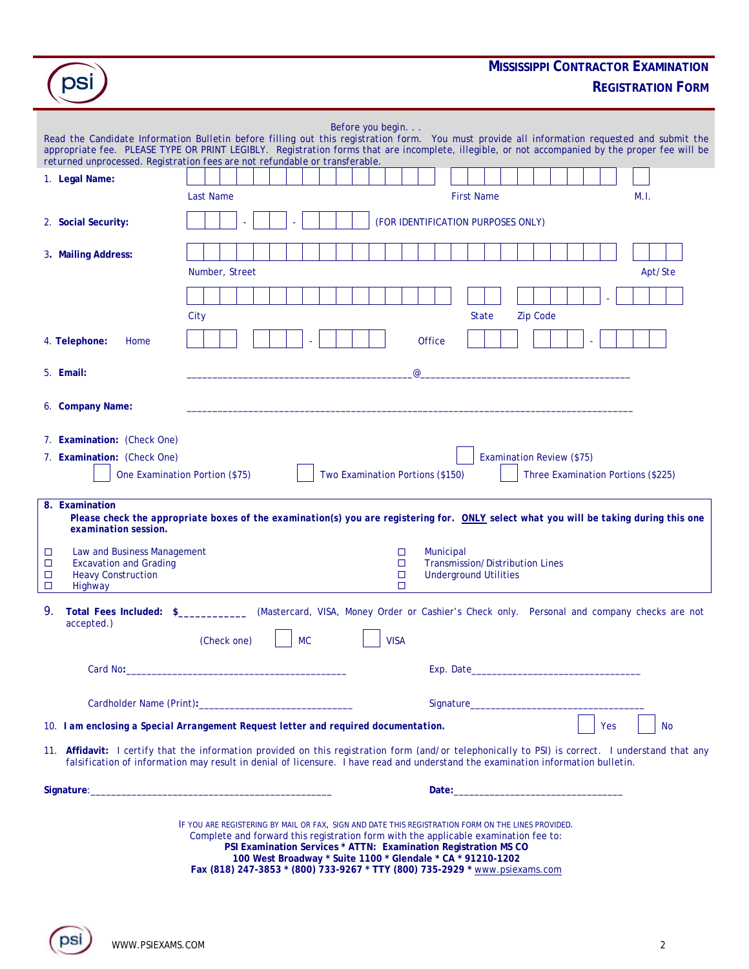| <b>MISSISSIPPI CONTRACTOR EXAMINATION</b> |  |
|-------------------------------------------|--|
| <b>REGISTRATION FORM</b>                  |  |

| Read the Candidate Information Bulletin before filling out this registration form. You must provide all information requested and submit the<br>appropriate fee. PLEASE TYPE OR PRINT LEGIBLY. Registration forms that are incomplete, illegible, or not accompanied by the proper fee will be |                                                                                                    |                                                                                                                                                                    |  |  |           |  |  | Before you begin.                                                                                                              |                |        |                                                                                            |                   |              |                           |                 |  |                                                                                                                                                                                                                                |      |                                                                                             |  |
|------------------------------------------------------------------------------------------------------------------------------------------------------------------------------------------------------------------------------------------------------------------------------------------------|----------------------------------------------------------------------------------------------------|--------------------------------------------------------------------------------------------------------------------------------------------------------------------|--|--|-----------|--|--|--------------------------------------------------------------------------------------------------------------------------------|----------------|--------|--------------------------------------------------------------------------------------------|-------------------|--------------|---------------------------|-----------------|--|--------------------------------------------------------------------------------------------------------------------------------------------------------------------------------------------------------------------------------|------|---------------------------------------------------------------------------------------------|--|
| returned unprocessed. Registration fees are not refundable or transferable.                                                                                                                                                                                                                    |                                                                                                    |                                                                                                                                                                    |  |  |           |  |  |                                                                                                                                |                |        |                                                                                            |                   |              |                           |                 |  |                                                                                                                                                                                                                                |      |                                                                                             |  |
| 1. Legal Name:                                                                                                                                                                                                                                                                                 |                                                                                                    |                                                                                                                                                                    |  |  |           |  |  |                                                                                                                                |                |        |                                                                                            |                   |              |                           |                 |  |                                                                                                                                                                                                                                |      |                                                                                             |  |
|                                                                                                                                                                                                                                                                                                |                                                                                                    | Last Name                                                                                                                                                          |  |  |           |  |  |                                                                                                                                |                |        |                                                                                            | <b>First Name</b> |              |                           |                 |  |                                                                                                                                                                                                                                | M.I. |                                                                                             |  |
| 2. Social Security:                                                                                                                                                                                                                                                                            |                                                                                                    |                                                                                                                                                                    |  |  |           |  |  | (FOR IDENTIFICATION PURPOSES ONLY)                                                                                             |                |        |                                                                                            |                   |              |                           |                 |  |                                                                                                                                                                                                                                |      |                                                                                             |  |
| 3. Mailing Address:                                                                                                                                                                                                                                                                            |                                                                                                    |                                                                                                                                                                    |  |  |           |  |  |                                                                                                                                |                |        |                                                                                            |                   |              |                           |                 |  |                                                                                                                                                                                                                                |      |                                                                                             |  |
|                                                                                                                                                                                                                                                                                                |                                                                                                    | Number, Street                                                                                                                                                     |  |  |           |  |  |                                                                                                                                |                |        |                                                                                            |                   |              |                           |                 |  |                                                                                                                                                                                                                                |      | Apt/Ste                                                                                     |  |
|                                                                                                                                                                                                                                                                                                |                                                                                                    |                                                                                                                                                                    |  |  |           |  |  |                                                                                                                                |                |        |                                                                                            |                   |              |                           |                 |  |                                                                                                                                                                                                                                |      |                                                                                             |  |
|                                                                                                                                                                                                                                                                                                | City                                                                                               |                                                                                                                                                                    |  |  |           |  |  |                                                                                                                                |                |        |                                                                                            |                   | <b>State</b> |                           | <b>Zip Code</b> |  |                                                                                                                                                                                                                                |      |                                                                                             |  |
| 4. Telephone:<br>Home                                                                                                                                                                                                                                                                          |                                                                                                    |                                                                                                                                                                    |  |  |           |  |  |                                                                                                                                |                | Office |                                                                                            |                   |              |                           |                 |  |                                                                                                                                                                                                                                |      |                                                                                             |  |
| 5. Email:                                                                                                                                                                                                                                                                                      |                                                                                                    |                                                                                                                                                                    |  |  |           |  |  |                                                                                                                                | $^{\circledR}$ |        |                                                                                            |                   |              |                           |                 |  |                                                                                                                                                                                                                                |      |                                                                                             |  |
| 6. Company Name:                                                                                                                                                                                                                                                                               |                                                                                                    |                                                                                                                                                                    |  |  |           |  |  |                                                                                                                                |                |        |                                                                                            |                   |              |                           |                 |  |                                                                                                                                                                                                                                |      |                                                                                             |  |
| 7. Examination: (Check One)                                                                                                                                                                                                                                                                    |                                                                                                    |                                                                                                                                                                    |  |  |           |  |  |                                                                                                                                |                |        |                                                                                            |                   |              |                           |                 |  |                                                                                                                                                                                                                                |      |                                                                                             |  |
| 7. Examination: (Check One)                                                                                                                                                                                                                                                                    |                                                                                                    |                                                                                                                                                                    |  |  |           |  |  |                                                                                                                                |                |        |                                                                                            |                   |              | Examination Review (\$75) |                 |  |                                                                                                                                                                                                                                |      |                                                                                             |  |
| One Examination Portion (\$75)                                                                                                                                                                                                                                                                 |                                                                                                    |                                                                                                                                                                    |  |  |           |  |  | Two Examination Portions (\$150)                                                                                               |                |        |                                                                                            |                   |              |                           |                 |  |                                                                                                                                                                                                                                |      | Three Examination Portions (\$225)                                                          |  |
|                                                                                                                                                                                                                                                                                                |                                                                                                    |                                                                                                                                                                    |  |  |           |  |  |                                                                                                                                |                |        |                                                                                            |                   |              |                           |                 |  |                                                                                                                                                                                                                                |      |                                                                                             |  |
| 8. Examination<br>Please check the appropriate boxes of the examination(s) you are registering for. ONLY select what you will be taking during this one<br>examination session.                                                                                                                |                                                                                                    |                                                                                                                                                                    |  |  |           |  |  |                                                                                                                                |                |        |                                                                                            |                   |              |                           |                 |  |                                                                                                                                                                                                                                |      |                                                                                             |  |
| Law and Business Management<br>□<br><b>Excavation and Grading</b><br>□<br><b>Heavy Construction</b><br>□<br>□<br>Highway                                                                                                                                                                       |                                                                                                    |                                                                                                                                                                    |  |  |           |  |  | □<br>□                                                                                                                         | □<br>□         |        | <b>Municipal</b><br><b>Transmission/Distribution Lines</b><br><b>Underground Utilities</b> |                   |              |                           |                 |  |                                                                                                                                                                                                                                |      |                                                                                             |  |
| 9.<br>Total Fees Included: \$<br>accepted.)                                                                                                                                                                                                                                                    |                                                                                                    | (Check one)                                                                                                                                                        |  |  | <b>MC</b> |  |  | <b>VISA</b>                                                                                                                    |                |        |                                                                                            |                   |              |                           |                 |  |                                                                                                                                                                                                                                |      | (Mastercard, VISA, Money Order or Cashier's Check only. Personal and company checks are not |  |
| Card No:                                                                                                                                                                                                                                                                                       |                                                                                                    |                                                                                                                                                                    |  |  |           |  |  |                                                                                                                                |                |        |                                                                                            |                   |              |                           |                 |  |                                                                                                                                                                                                                                |      |                                                                                             |  |
|                                                                                                                                                                                                                                                                                                |                                                                                                    |                                                                                                                                                                    |  |  |           |  |  |                                                                                                                                |                |        |                                                                                            |                   |              |                           |                 |  |                                                                                                                                                                                                                                |      |                                                                                             |  |
| 10. I am enclosing a Special Arrangement Request letter and required documentation.                                                                                                                                                                                                            |                                                                                                    |                                                                                                                                                                    |  |  |           |  |  |                                                                                                                                |                |        |                                                                                            |                   |              |                           |                 |  | Yes                                                                                                                                                                                                                            |      | <b>No</b>                                                                                   |  |
| 11. Affidavit: I certify that the information provided on this registration form (and/or telephonically to PSI) is correct. I understand that any<br>falsification of information may result in denial of licensure. I have read and understand the examination information bulletin.          |                                                                                                    |                                                                                                                                                                    |  |  |           |  |  |                                                                                                                                |                |        |                                                                                            |                   |              |                           |                 |  |                                                                                                                                                                                                                                |      |                                                                                             |  |
|                                                                                                                                                                                                                                                                                                |                                                                                                    |                                                                                                                                                                    |  |  |           |  |  |                                                                                                                                |                |        |                                                                                            |                   |              |                           |                 |  | Date: the contract of the contract of the contract of the contract of the contract of the contract of the contract of the contract of the contract of the contract of the contract of the contract of the contract of the cont |      |                                                                                             |  |
|                                                                                                                                                                                                                                                                                                | IF YOU ARE REGISTERING BY MAIL OR FAX, SIGN AND DATE THIS REGISTRATION FORM ON THE LINES PROVIDED. | Complete and forward this registration form with the applicable examination fee to:<br>Fax (818) 247-3853 * (800) 733-9267 * TTY (800) 735-2929 * www.psiexams.com |  |  |           |  |  | PSI Examination Services * ATTN: Examination Registration MS CO<br>100 West Broadway * Suite 1100 * Glendale * CA * 91210-1202 |                |        |                                                                                            |                   |              |                           |                 |  |                                                                                                                                                                                                                                |      |                                                                                             |  |



 $\left($ psi $\right)$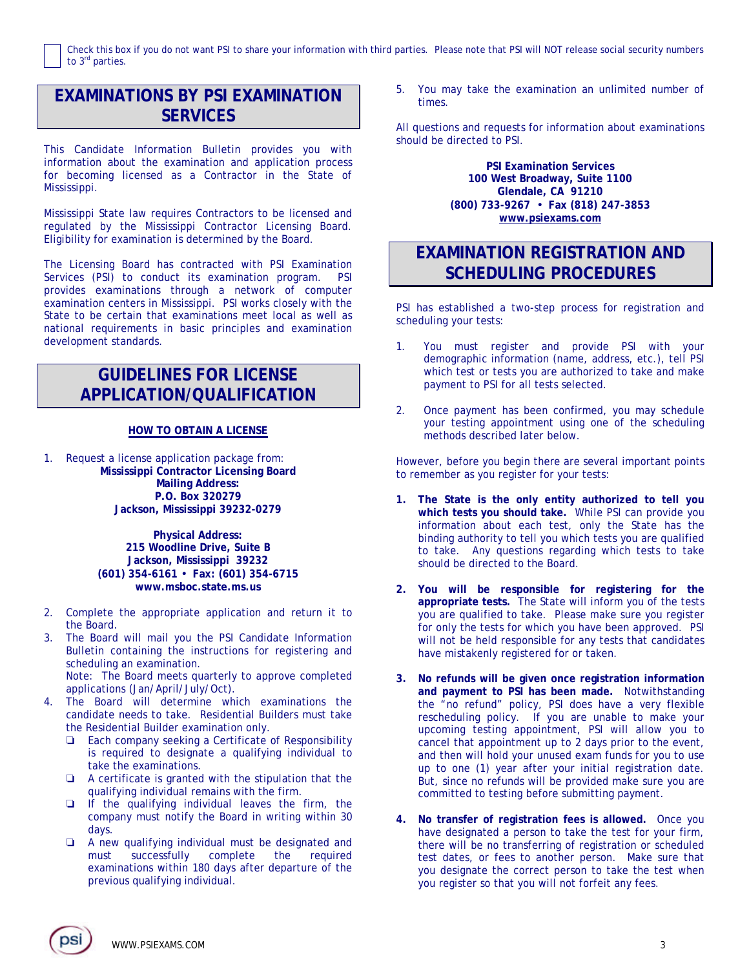Check this box if you do not want PSI to share your information with third parties. Please note that PSI will NOT release social security numbers to 3rd parties.

### **EXAMINATIONS BY PSI EXAMINATION SERVICES**

This Candidate Information Bulletin provides you with information about the examination and application process for becoming licensed as a Contractor in the State of Mississippi.

Mississippi State law requires Contractors to be licensed and regulated by the Mississippi Contractor Licensing Board. Eligibility for examination is determined by the Board.

The Licensing Board has contracted with PSI Examination Services (PSI) to conduct its examination program. PSI provides examinations through a network of computer examination centers in Mississippi. PSI works closely with the State to be certain that examinations meet local as well as national requirements in basic principles and examination development standards.

### **GUIDELINES FOR LICENSE APPLICATION/QUALIFICATION**

### **HOW TO OBTAIN A LICENSE**

1. Request a license application package from: **Mississippi Contractor Licensing Board Mailing Address: P.O. Box 320279 Jackson, Mississippi 39232-0279**

### **Physical Address: 215 Woodline Drive, Suite B Jackson, Mississippi 39232 (601) 354-6161 · Fax: (601) 354-6715 www.msboc.state.ms.us**

- 2. Complete the appropriate application and return it to the Board.
- 3. The Board will mail you the PSI Candidate Information Bulletin containing the instructions for registering and scheduling an examination.

Note: The Board meets quarterly to approve completed applications (Jan/April/July/Oct).

- 4. The Board will determine which examinations the candidate needs to take. Residential Builders must take the Residential Builder examination only.
	- □ Each company seeking a Certificate of Responsibility is required to designate a qualifying individual to take the examinations.
	- $\Box$  A certificate is granted with the stipulation that the qualifying individual remains with the firm.
	- $\Box$  If the qualifying individual leaves the firm, the company must notify the Board in writing within 30 days.
	- $\Box$  A new qualifying individual must be designated and must successfully complete the required examinations within 180 days after departure of the previous qualifying individual.

5. You may take the examination an unlimited number of times.

All questions and requests for information about examinations should be directed to PSI.

> **PSI Examination Services 100 West Broadway, Suite 1100 Glendale, CA 91210 (800) 733-9267 · Fax (818) 247-3853 www.psiexams.com**

### **EXAMINATION REGISTRATION AND SCHEDULING PROCEDURES**

PSI has established a two-step process for registration and scheduling your tests:

- 1. You must register and provide PSI with your demographic information (name, address, etc.), tell PSI which test or tests you are authorized to take and make payment to PSI for all tests selected.
- 2. Once payment has been confirmed, you may schedule your testing appointment using one of the scheduling methods described later below.

However, before you begin there are several important points to remember as you register for your tests:

- **1. The State is the only entity authorized to tell you which tests you should take.** While PSI can provide you information about each test, only the State has the binding authority to tell you which tests you are qualified to take. Any questions regarding which tests to take should be directed to the Board.
- **2. You will be responsible for registering for the appropriate tests.** The State will inform you of the tests you are qualified to take. Please make sure you register for only the tests for which you have been approved. PSI will not be held responsible for any tests that candidates have mistakenly registered for or taken.
- **3. No refunds will be given once registration information and payment to PSI has been made.** Notwithstanding the "no refund" policy, PSI does have a very flexible rescheduling policy. If you are unable to make your upcoming testing appointment, PSI will allow you to cancel that appointment up to 2 days prior to the event, and then will hold your unused exam funds for you to use up to one (1) year after your initial registration date. But, since no refunds will be provided make sure you are committed to testing before submitting payment.
- **4. No transfer of registration fees is allowed.** Once you have designated a person to take the test for your firm, there will be no transferring of registration or scheduled test dates, or fees to another person. Make sure that you designate the correct person to take the test when you register so that you will not forfeit any fees.

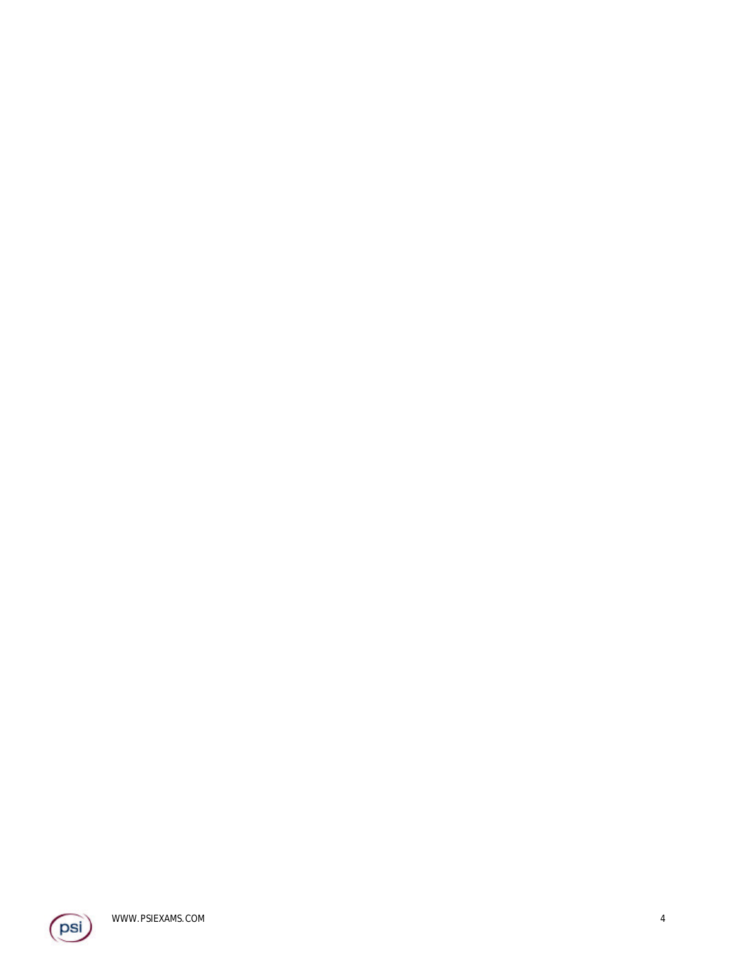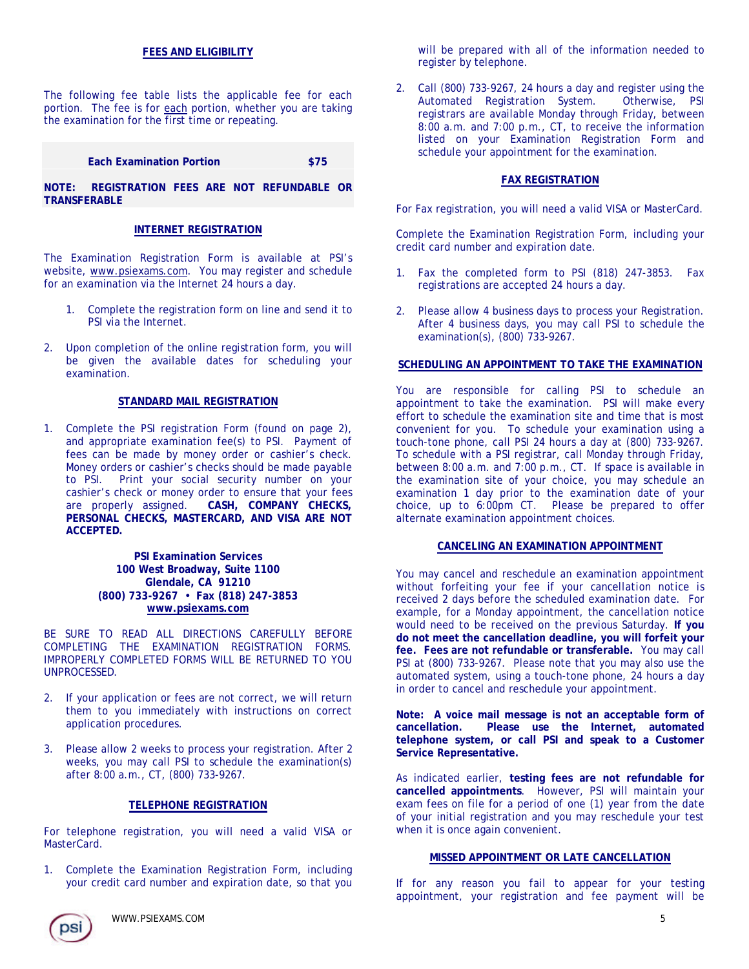### **FEES AND ELIGIBILITY**

The following fee table lists the applicable fee for each portion. The fee is for each portion, whether you are taking the examination for the first time or repeating.

**Each Examination Portion \$75**

**NOTE: REGISTRATION FEES ARE NOT REFUNDABLE OR TRANSFERABLE**

### **INTERNET REGISTRATION**

The Examination Registration Form is available at PSI's website, www.psiexams.com. You may register and schedule for an examination via the Internet 24 hours a day.

- 1. Complete the registration form on line and send it to PSI via the Internet.
- 2. Upon completion of the online registration form, you will be given the available dates for scheduling your examination.

#### **STANDARD MAIL REGISTRATION**

Complete the PSI registration Form (found on page 2), and appropriate examination fee(s) to PSI. Payment of fees can be made by money order or cashier's check. Money orders or cashier's checks should be made payable to PSI. Print your social security number on your cashier's check or money order to ensure that your fees are properly assigned. **CASH, COMPANY CHECKS, PERSONAL CHECKS, MASTERCARD, AND VISA ARE NOT ACCEPTED.**

#### **PSI Examination Services 100 West Broadway, Suite 1100 Glendale, CA 91210 (800) 733-9267 · Fax (818) 247-3853 www.psiexams.com**

BE SURE TO READ ALL DIRECTIONS CAREFULLY BEFORE COMPLETING THE EXAMINATION REGISTRATION FORMS. IMPROPERLY COMPLETED FORMS WILL BE RETURNED TO YOU UNPROCESSED.

- 2. If your application or fees are not correct, we will return them to you immediately with instructions on correct application procedures.
- 3. Please allow 2 weeks to process your registration. After 2 weeks, you may call PSI to schedule the examination(s) after 8:00 a.m., CT, (800) 733-9267.

#### **TELEPHONE REGISTRATION**

For telephone registration, you will need a valid VISA or MasterCard.

1. Complete the Examination Registration Form, including your credit card number and expiration date, so that you will be prepared with all of the information needed to register by telephone.

2. Call (800) 733-9267, 24 hours a day and register using the Automated Registration System. Otherwise, PSI registrars are available Monday through Friday, between 8:00 a.m. and 7:00 p.m., CT, to receive the information listed on your Examination Registration Form and schedule your appointment for the examination.

#### **FAX REGISTRATION**

For Fax registration, you will need a valid VISA or MasterCard.

Complete the Examination Registration Form, including your credit card number and expiration date.

- 1. Fax the completed form to PSI (818) 247-3853. Fax registrations are accepted 24 hours a day.
- 2. Please allow 4 business days to process your Registration. After 4 business days, you may call PSI to schedule the examination(s), (800) 733-9267.

#### **SCHEDULING AN APPOINTMENT TO TAKE THE EXAMINATION**

You are responsible for calling PSI to schedule an appointment to take the examination. PSI will make every effort to schedule the examination site and time that is most convenient for you. To schedule your examination using a touch-tone phone, call PSI 24 hours a day at (800) 733-9267. To schedule with a PSI registrar, call Monday through Friday, between 8:00 a.m. and 7:00 p.m., CT. If space is available in the examination site of your choice, you may schedule an examination 1 day prior to the examination date of your choice, up to 6:00pm CT. Please be prepared to offer alternate examination appointment choices.

### **CANCELING AN EXAMINATION APPOINTMENT**

You may cancel and reschedule an examination appointment without forfeiting your fee if your *cancellation notice is received 2 days before the scheduled examination date*. For example, for a Monday appointment, the cancellation notice would need to be received on the previous Saturday. **If you do not meet the cancellation deadline, you will forfeit your fee. Fees are not refundable or transferable.** You may call PSI at (800) 733-9267. Please note that you may also use the automated system, using a touch-tone phone, 24 hours a day in order to cancel and reschedule your appointment.

**Note: A voice mail message is not an acceptable form of cancellation. Please use the Internet, automated telephone system, or call PSI and speak to a Customer Service Representative.**

As indicated earlier, **testing fees are not refundable for cancelled appointments**. However, PSI will maintain your exam fees on file for a period of one (1) year from the date of your initial registration and you may reschedule your test when it is once again convenient.

#### **MISSED APPOINTMENT OR LATE CANCELLATION**

If for any reason you fail to appear for your testing appointment, your registration and fee payment will be

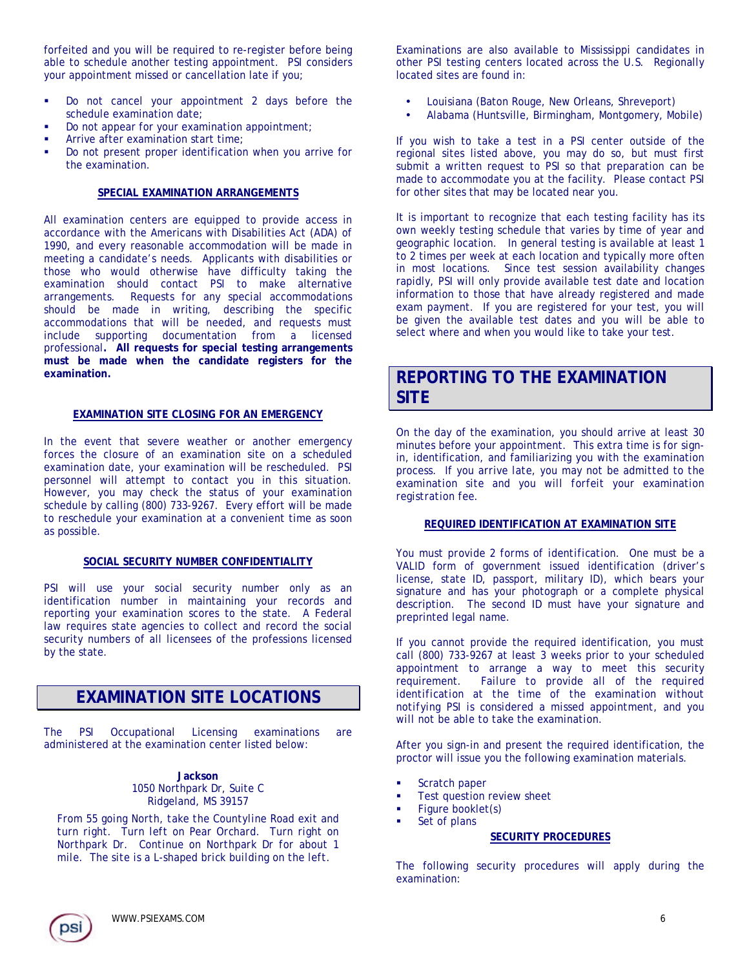forfeited and you will be required to re-register before being able to schedule another testing appointment. PSI considers your appointment missed or cancellation late if you;

- ß Do not cancel your appointment 2 days before the schedule examination date;
- Do not appear for your examination appointment;
- ß Arrive after examination start time;
- ß Do not present proper identification when you arrive for the examination.

### **SPECIAL EXAMINATION ARRANGEMENTS**

All examination centers are equipped to provide access in accordance with the Americans with Disabilities Act (ADA) of 1990, and every reasonable accommodation will be made in meeting a candidate's needs. Applicants with disabilities or those who would otherwise have difficulty taking the examination should contact PSI to make alternative arrangements. Requests for any special accommodations should be made in writing, describing the specific accommodations that will be needed, and requests must include supporting documentation from a licensed professional**. All requests for special testing arrangements must be made when the candidate registers for the examination.**

### **EXAMINATION SITE CLOSING FOR AN EMERGENCY**

In the event that severe weather or another emergency forces the closure of an examination site on a scheduled examination date, your examination will be rescheduled. PSI personnel will attempt to contact you in this situation. However, you may check the status of your examination schedule by calling (800) 733-9267. Every effort will be made to reschedule your examination at a convenient time as soon as possible.

#### **SOCIAL SECURITY NUMBER CONFIDENTIALITY**

PSI will use your social security number only as an identification number in maintaining your records and reporting your examination scores to the state. A Federal law requires state agencies to collect and record the social security numbers of all licensees of the professions licensed by the state.

### **EXAMINATION SITE LOCATIONS**

The PSI Occupational Licensing examinations are administered at the examination center listed below:

#### **Jackson** 1050 Northpark Dr, Suite C Ridgeland, MS 39157

*From 55 going North, take the Countyline Road exit and turn right. Turn left on Pear Orchard. Turn right on Northpark Dr. Continue on Northpark Dr for about 1 mile. The site is a L-shaped brick building on the left.*

Examinations are also available to Mississippi candidates in other PSI testing centers located across the U.S. Regionally located sites are found in:

- Louisiana (Baton Rouge, New Orleans, Shreveport)
- Alabama (Huntsville, Birmingham, Montgomery, Mobile)

If you wish to take a test in a PSI center outside of the regional sites listed above, you may do so, but must first submit a written request to PSI so that preparation can be made to accommodate you at the facility. Please contact PSI for other sites that may be located near you.

It is important to recognize that each testing facility has its own weekly testing schedule that varies by time of year and geographic location. In general testing is available at least 1 to 2 times per week at each location and typically more often in most locations. Since test session availability changes rapidly, PSI will only provide available test date and location information to those that have already registered and made exam payment. If you are registered for your test, you will be given the available test dates and you will be able to select where and when you would like to take your test.

### **REPORTING TO THE EXAMINATION SITE**

On the day of the examination, you should arrive at least 30 minutes before your appointment. This extra time is for signin, identification, and familiarizing you with the examination process. *If you arrive late, you may not be admitted to the examination site and you will forfeit your examination registration fee.*

### **REQUIRED IDENTIFICATION AT EXAMINATION SITE**

*You must provide 2 forms of identification.* One must be a VALID form of government issued identification (driver's license, state ID, passport, military ID), which bears your signature and has your photograph or a complete physical description. The second ID must have your signature and preprinted legal name.

If you cannot provide the required identification, you must call (800) 733-9267 at least 3 weeks prior to your scheduled appointment to arrange a way to meet this security requirement. *Failure to provide all of the required identification at the time of the examination without notifying PSI is considered a missed appointment, and you will not be able to take the examination.*

After you sign-in and present the required identification, the proctor will issue you the following examination materials.

- **Scratch paper**
- Test question review sheet
- Figure booklet(s)
- Set of plans

#### **SECURITY PROCEDURES**

The following security procedures will apply during the examination:

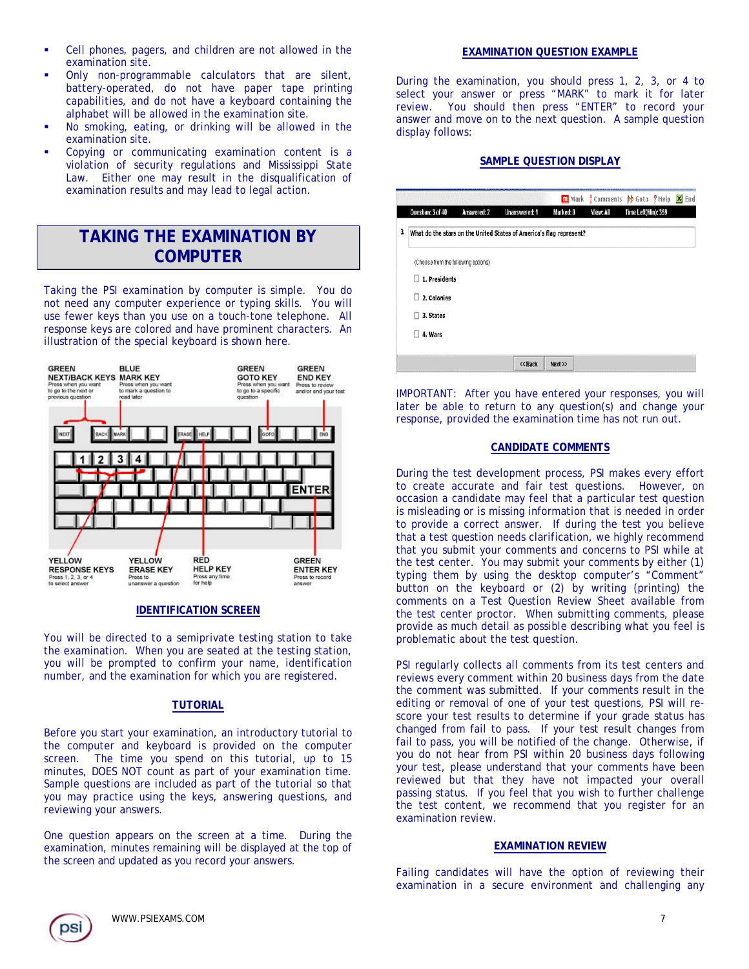- ß Cell phones, pagers, and children are not allowed in the examination site.
- Only non-programmable calculators that are silent, battery-operated, do not have paper tape printing capabilities, and do not have a keyboard containing the alphabet will be allowed in the examination site.
- No smoking, eating, or drinking will be allowed in the examination site.
- Copying or communicating examination content is a violation of security regulations and Mississippi State Law. Either one may result in the disqualification of examination results and may lead to legal action.

### **TAKING THE EXAMINATION BY COMPUTER**

Taking the PSI examination by computer is simple. You do not need any computer experience or typing skills. You will use fewer keys than you use on a touch-tone telephone. All response keys are colored and have prominent characters. An illustration of the special keyboard is shown here.



### **IDENTIFICATION SCREEN**

You will be directed to a semiprivate testing station to take the examination. When you are seated at the testing station, you will be prompted to confirm your name, identification number, and the examination for which you are registered.

### **TUTORIAL**

Before you start your examination, an introductory tutorial to the computer and keyboard is provided on the computer screen. The time you spend on this tutorial, up to 15 minutes, DOES NOT count as part of your examination time. Sample questions are included as part of the tutorial so that you may practice using the keys, answering questions, and reviewing your answers.

One question appears on the screen at a time. During the examination, minutes remaining will be displayed at the top of the screen and updated as you record your answers.

#### **EXAMINATION QUESTION EXAMPLE**

During the examination, you should press 1, 2, 3, or 4 to select your answer or press "MARK" to mark it for later review. You should then press "ENTER" to record your answer and move on to the next question. A sample question display follows:

### **SAMPLE QUESTION DISPLAY**

| Time Left(Min): 359<br>3.<br>What do the stars on the United States of America's flag represent?<br>(Choose from the following options)<br>1. Presidents<br>п<br>2. Colonies<br>3. States<br>П<br>4. Wars |                   |             |               |           | m Mark Comments M Goto ? Help X End |  |  |
|-----------------------------------------------------------------------------------------------------------------------------------------------------------------------------------------------------------|-------------------|-------------|---------------|-----------|-------------------------------------|--|--|
|                                                                                                                                                                                                           | Question: 3 of 40 | Answered: 2 | Unanswered: 1 | Marked: O | View: All                           |  |  |
|                                                                                                                                                                                                           |                   |             |               |           |                                     |  |  |
|                                                                                                                                                                                                           |                   |             |               |           |                                     |  |  |
|                                                                                                                                                                                                           |                   |             |               |           |                                     |  |  |
|                                                                                                                                                                                                           |                   |             |               |           |                                     |  |  |
|                                                                                                                                                                                                           |                   |             |               |           |                                     |  |  |
|                                                                                                                                                                                                           |                   |             |               |           |                                     |  |  |
|                                                                                                                                                                                                           |                   |             | << Back       | Next >>   |                                     |  |  |

IMPORTANT: After you have entered your responses, you will later be able to return to any question(s) and change your response, provided the examination time has not run out.

#### **CANDIDATE COMMENTS**

During the test development process, PSI makes every effort to create accurate and fair test questions. However, on occasion a candidate may feel that a particular test question is misleading or is missing information that is needed in order to provide a correct answer. If during the test you believe that a test question needs clarification, we highly recommend that you submit your comments and concerns to PSI while at the test center. You may submit your comments by either (1) typing them by using the desktop computer's "Comment" button on the keyboard or (2) by writing (printing) the comments on a Test Question Review Sheet available from the test center proctor. When submitting comments, please provide as much detail as possible describing what you feel is problematic about the test question.

PSI regularly collects all comments from its test centers and reviews every comment within 20 business days from the date the comment was submitted. If your comments result in the editing or removal of one of your test questions, PSI will rescore your test results to determine if your grade status has changed from fail to pass. If your test result changes from fail to pass, you will be notified of the change. Otherwise, if you do not hear from PSI within 20 business days following your test, please understand that your comments have been reviewed but that they have not impacted your overall passing status. If you feel that you wish to further challenge the test content, we recommend that you register for an examination review.

#### **EXAMINATION REVIEW**

Failing candidates will have the option of reviewing their examination in a secure environment and challenging any

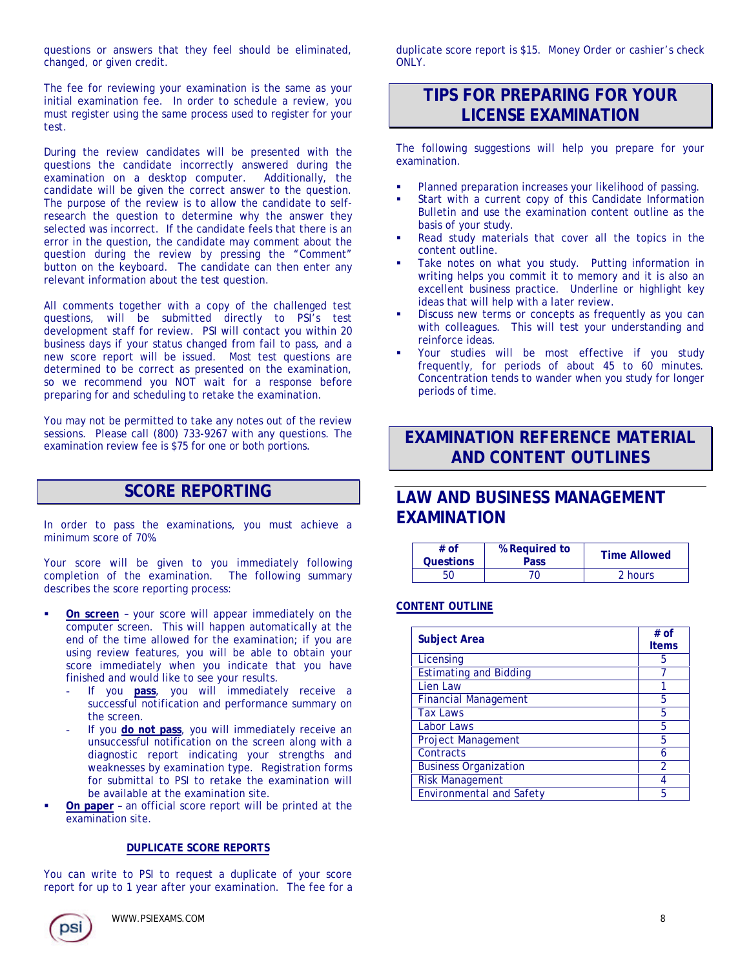questions or answers that they feel should be eliminated, changed, or given credit.

The fee for reviewing your examination is the same as your initial examination fee. In order to schedule a review, you must register using the same process used to register for your test.

During the review candidates will be presented with the questions the candidate incorrectly answered during the examination on a desktop computer. Additionally, the candidate will be given the correct answer to the question. The purpose of the review is to allow the candidate to selfresearch the question to determine why the answer they selected was incorrect. If the candidate feels that there is an error in the question, the candidate may comment about the question during the review by pressing the "Comment" button on the keyboard. The candidate can then enter any relevant information about the test question.

All comments together with a copy of the challenged test questions, will be submitted directly to PSI's test development staff for review. PSI will contact you within 20 business days if your status changed from fail to pass, and a new score report will be issued. Most test questions are determined to be correct as presented on the examination, so we recommend you NOT wait for a response before preparing for and scheduling to retake the examination.

You may not be permitted to take any notes out of the review sessions. Please call (800) 733-9267 with any questions. The examination review fee is \$75 for one or both portions.

### **SCORE REPORTING**

In order to pass the examinations, you must achieve a minimum score of 70%.

Your score will be given to you immediately following completion of the examination. The following summary describes the score reporting process:

- **IDON SCREEN** your score will appear immediately on the computer screen. This will happen automatically at the end of the time allowed for the examination; if you are using review features, you will be able to obtain your score immediately when you indicate that you have finished and would like to see your results.
	- If you **pass**, you will immediately receive a successful notification and performance summary on the screen.
	- If you **do not pass**, you will immediately receive an unsuccessful notification on the screen along with a diagnostic report indicating your strengths and weaknesses by examination type. Registration forms for submittal to PSI to retake the examination will be available at the examination site.
- ß **On paper** an official score report will be printed at the examination site.

### **DUPLICATE SCORE REPORTS**

You can write to PSI to request a duplicate of your score report for up to 1 year after your examination. The fee for a duplicate score report is \$15. *Money Order or cashier's check ONLY.*

### **TIPS FOR PREPARING FOR YOUR LICENSE EXAMINATION**

The following suggestions will help you prepare for your examination.

- ß Planned preparation increases your likelihood of passing.
- Start with a current copy of this Candidate Information Bulletin and use the examination content outline as the basis of your study.
- Read study materials that cover all the topics in the content outline.
- Take notes on what you study. Putting information in writing helps you commit it to memory and it is also an excellent business practice. Underline or highlight key ideas that will help with a later review.
- Discuss new terms or concepts as frequently as you can with colleagues. This will test your understanding and reinforce ideas.
- ß Your studies will be most effective if you study frequently, for periods of about 45 to 60 minutes. Concentration tends to wander when you study for longer periods of time.

### **EXAMINATION REFERENCE MATERIAL AND CONTENT OUTLINES**

### **LAW AND BUSINESS MANAGEMENT EXAMINATION**

| # of<br><b>Questions</b> | % Required to<br>Pass | <b>Time Allowed</b> |
|--------------------------|-----------------------|---------------------|
|                          |                       | 2 hours             |

### **CONTENT OUTLINE**

| <b>Subject Area</b>             | $#$ of<br><b>Items</b> |
|---------------------------------|------------------------|
| Licensing                       | 5                      |
| <b>Estimating and Bidding</b>   |                        |
| <b>Lien Law</b>                 |                        |
| <b>Financial Management</b>     | 5                      |
| <b>Tax Laws</b>                 | 5                      |
| <b>Labor Laws</b>               | 5                      |
| <b>Project Management</b>       | 5                      |
| Contracts                       | 6                      |
| <b>Business Organization</b>    | $\overline{2}$         |
| <b>Risk Management</b>          |                        |
| <b>Environmental and Safety</b> | 5                      |

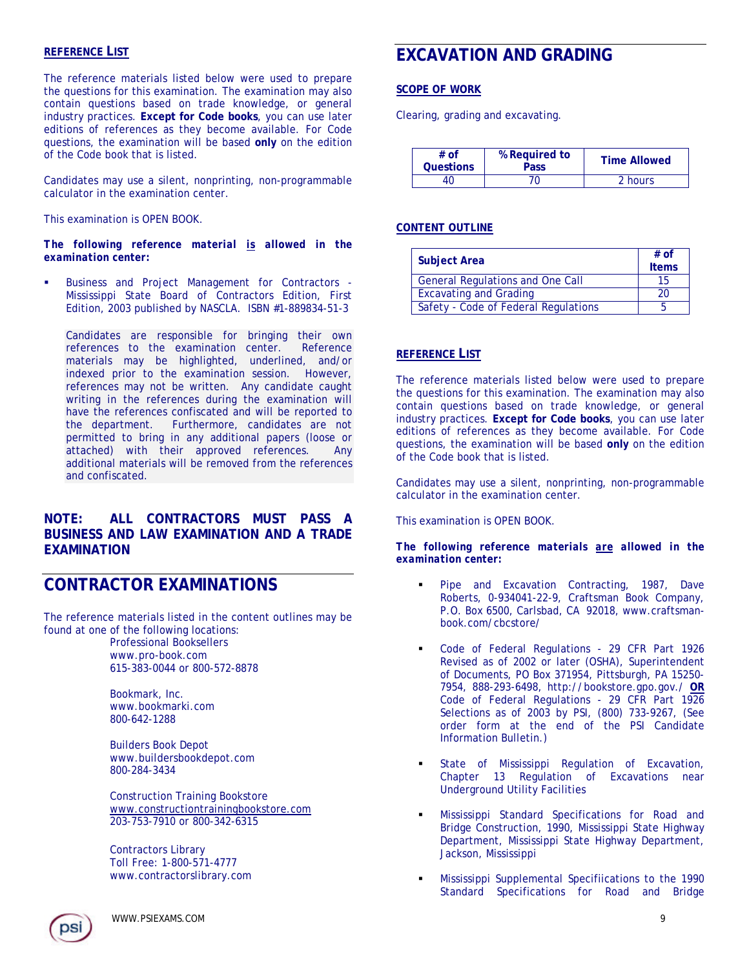### **REFERENCE LIST**

The reference materials listed below were used to prepare the questions for this examination. The examination may also contain questions based on trade knowledge, or general industry practices. **Except for Code books**, you can use later editions of references as they become available. For Code questions, the examination will be based **only** on the edition of the Code book that is listed.

Candidates may use a silent, nonprinting, non-programmable calculator in the examination center.

This examination is OPEN BOOK.

#### *The following reference material is allowed in the examination center:*

ß Business and Project Management for Contractors - Mississippi State Board of Contractors Edition, First Edition, 2003 published by NASCLA. ISBN #1-889834-51-3

Candidates are responsible for bringing their own references to the examination center. Reference materials may be highlighted, underlined, and/or indexed prior to the examination session. However, references may not be written. Any candidate caught writing in the references during the examination will have the references confiscated and will be reported to the department. Furthermore, candidates are not permitted to bring in any additional papers (loose or attached) with their approved references. Any additional materials will be removed from the references and confiscated.

### **NOTE: ALL CONTRACTORS MUST PASS A BUSINESS AND LAW EXAMINATION AND A TRADE EXAMINATION**

### **CONTRACTOR EXAMINATIONS**

The reference materials listed in the content outlines may be found at one of the following locations:

Professional Booksellers www.pro-book.com 615-383-0044 or 800-572-8878

Bookmark, Inc. www.bookmarki.com 800-642-1288

Builders Book Depot www.buildersbookdepot.com 800-284-3434

Construction Training Bookstore www.constructiontrainingbookstore.com 203-753-7910 or 800-342-6315

Contractors Library Toll Free: 1-800-571-4777 www.contractorslibrary.com

### **EXCAVATION AND GRADING**

### **SCOPE OF WORK**

Clearing, grading and excavating.

| # of<br><b>Ouestions</b> | % Required to<br>Pass | <b>Time Allowed</b> |
|--------------------------|-----------------------|---------------------|
|                          |                       | 2 hours             |

### **CONTENT OUTLINE**

| <b>Subject Area</b>                  | $#$ of<br><b>Items</b> |
|--------------------------------------|------------------------|
| General Regulations and One Call     | 15                     |
| <b>Excavating and Grading</b>        | 20                     |
| Safety - Code of Federal Regulations |                        |

### **REFERENCE LIST**

The reference materials listed below were used to prepare the questions for this examination. The examination may also contain questions based on trade knowledge, or general industry practices. **Except for Code books**, you can use later editions of references as they become available. For Code questions, the examination will be based **only** on the edition of the Code book that is listed.

Candidates may use a silent, nonprinting, non-programmable calculator in the examination center.

This examination is OPEN BOOK.

#### *The following reference materials are allowed in the examination center:*

- ß Pipe and Excavation Contracting, 1987, Dave Roberts, 0-934041-22-9, Craftsman Book Company, P.O. Box 6500, Carlsbad, CA 92018, www.craftsmanbook.com/cbcstore/
- ß Code of Federal Regulations 29 CFR Part 1926 Revised as of 2002 or later (OSHA), Superintendent of Documents, PO Box 371954, Pittsburgh, PA 15250- 7954, 888-293-6498, http://bookstore.gpo.gov./ **OR** Code of Federal Regulations - 29 CFR Part 1926 Selections as of 2003 by PSI, (800) 733-9267, (See order form at the end of the PSI Candidate Information Bulletin.)
- State of Mississippi Regulation of Excavation, Chapter 13 Regulation of Excavations near Underground Utility Facilities
- ß Mississippi Standard Specifications for Road and Bridge Construction, 1990, Mississippi State Highway Department, Mississippi State Highway Department, Jackson, Mississippi
- ß Mississippi Supplemental Specifiications to the 1990 Standard Specifications for Road and Bridge

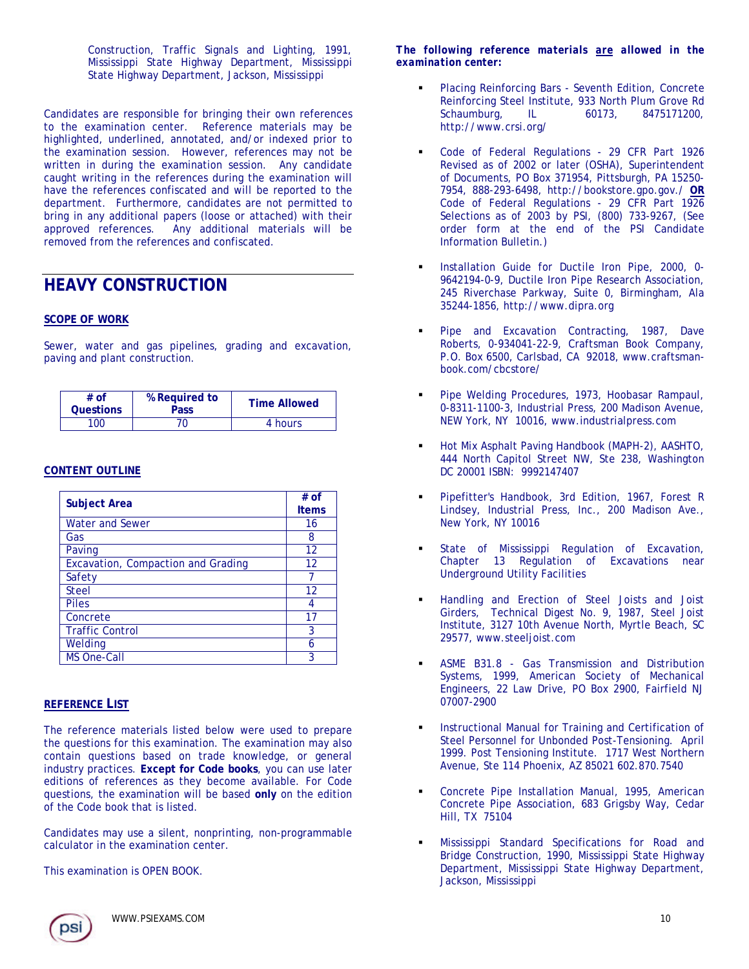Construction, Traffic Signals and Lighting, 1991, Mississippi State Highway Department, Mississippi State Highway Department, Jackson, Mississippi

Candidates are responsible for bringing their own references to the examination center. Reference materials may be highlighted, underlined, annotated, and/or indexed prior to the examination session. However, references may not be written in during the examination session. Any candidate caught writing in the references during the examination will have the references confiscated and will be reported to the department. Furthermore, candidates are not permitted to bring in any additional papers (loose or attached) with their approved references. Any additional materials will be removed from the references and confiscated.

### **HEAVY CONSTRUCTION**

### **SCOPE OF WORK**

Sewer, water and gas pipelines, grading and excavation, paving and plant construction.

| # of<br><b>Questions</b> | % Required to<br>Pass | <b>Time Allowed</b> |
|--------------------------|-----------------------|---------------------|
|                          |                       | 4 hours             |

### **CONTENT OUTLINE**

| <b>Subject Area</b>                | $#$ of<br><b>Items</b> |
|------------------------------------|------------------------|
| <b>Water and Sewer</b>             | 16                     |
| Gas                                | 8                      |
| Paving                             | 12                     |
| Excavation, Compaction and Grading | 12                     |
| Safety                             |                        |
| <b>Steel</b>                       | 12                     |
| <b>Piles</b>                       | Δ                      |
| Concrete                           | 17                     |
| <b>Traffic Control</b>             | 3                      |
| Welding                            | 6                      |
| <b>MS One-Call</b>                 | 3                      |

### **REFERENCE LIST**

The reference materials listed below were used to prepare the questions for this examination. The examination may also contain questions based on trade knowledge, or general industry practices. **Except for Code books**, you can use later editions of references as they become available. For Code questions, the examination will be based **only** on the edition of the Code book that is listed.

Candidates may use a silent, nonprinting, non-programmable calculator in the examination center.

This examination is OPEN BOOK.

#### *The following reference materials are allowed in the examination center:*

- ß Placing Reinforcing Bars Seventh Edition, Concrete Reinforcing Steel Institute, 933 North Plum Grove Rd Schaumburg, IL 60173, 8475171200, http://www.crsi.org/
- ß Code of Federal Regulations 29 CFR Part 1926 Revised as of 2002 or later (OSHA), Superintendent of Documents, PO Box 371954, Pittsburgh, PA 15250- 7954, 888-293-6498, http://bookstore.gpo.gov./ **OR** Code of Federal Regulations - 29 CFR Part 1926 Selections as of 2003 by PSI, (800) 733-9267, (See order form at the end of the PSI Candidate Information Bulletin.)
- ß Installation Guide for Ductile Iron Pipe, 2000, 0- 9642194-0-9, Ductile Iron Pipe Research Association, 245 Riverchase Parkway, Suite 0, Birmingham, Ala 35244-1856, http://www.dipra.org
- Pipe and Excavation Contracting, 1987, Dave Roberts, 0-934041-22-9, Craftsman Book Company, P.O. Box 6500, Carlsbad, CA 92018, www.craftsmanbook.com/cbcstore/
- ß Pipe Welding Procedures, 1973, Hoobasar Rampaul, 0-8311-1100-3, Industrial Press, 200 Madison Avenue, NEW York, NY 10016, www.industrialpress.com
- **Hot Mix Asphalt Paving Handbook (MAPH-2), AASHTO,** 444 North Capitol Street NW, Ste 238, Washington DC 20001 ISBN: 9992147407
- ß Pipefitter's Handbook, 3rd Edition, 1967, Forest R Lindsey, Industrial Press, Inc., 200 Madison Ave., New York, NY 10016
- **State of Mississippi Regulation of Excavation,** Chapter 13 Regulation of Excavations near Underground Utility Facilities
- ß Handling and Erection of Steel Joists and Joist Girders, Technical Digest No. 9, 1987, Steel Joist Institute, 3127 10th Avenue North, Myrtle Beach, SC 29577, www.steeljoist.com
- ß ASME B31.8 Gas Transmission and Distribution Systems, 1999, American Society of Mechanical Engineers, 22 Law Drive, PO Box 2900, Fairfield NJ 07007-2900
- ß Instructional Manual for Training and Certification of Steel Personnel for Unbonded Post-Tensioning. April 1999. Post Tensioning Institute. 1717 West Northern Avenue, Ste 114 Phoenix, AZ 85021 602.870.7540
- ß Concrete Pipe Installation Manual, 1995, American Concrete Pipe Association, 683 Grigsby Way, Cedar Hill, TX 75104
- ß Mississippi Standard Specifications for Road and Bridge Construction, 1990, Mississippi State Highway Department, Mississippi State Highway Department, Jackson, Mississippi

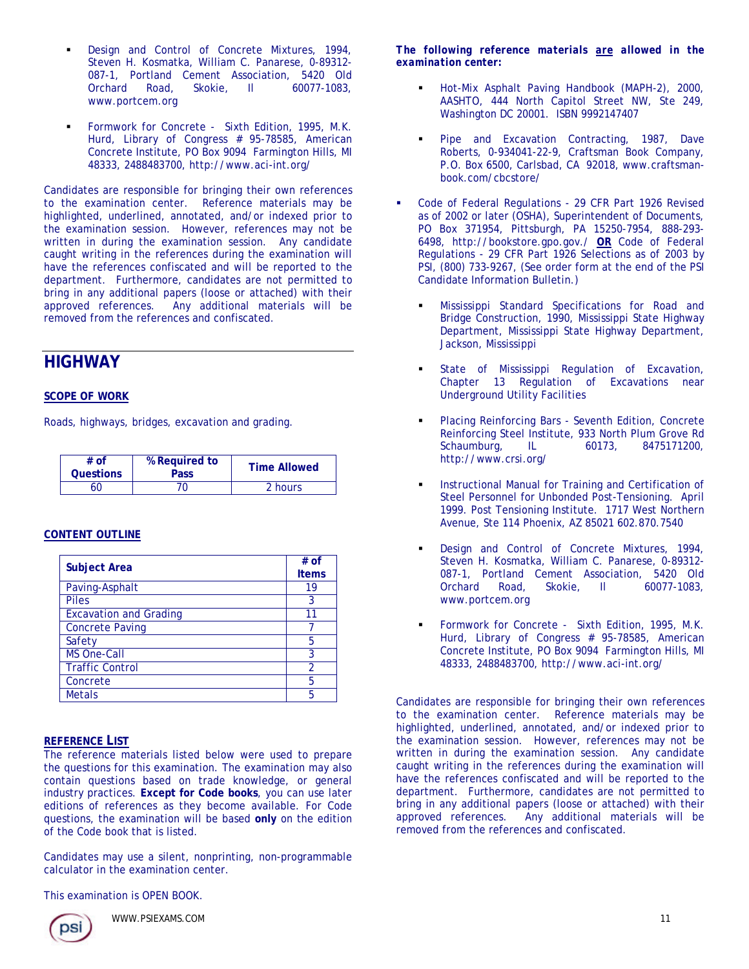- ß Design and Control of Concrete Mixtures, 1994, Steven H. Kosmatka, William C. Panarese, 0-89312- 087-1, Portland Cement Association, 5420 Old Orchard Road, Skokie, Il 60077-1083, www.portcem.org
- ß Formwork for Concrete Sixth Edition, 1995, M.K. Hurd, Library of Congress # 95-78585, American Concrete Institute, PO Box 9094 Farmington Hills, MI 48333, 2488483700, http://www.aci-int.org/

Candidates are responsible for bringing their own references to the examination center. Reference materials may be highlighted, underlined, annotated, and/or indexed prior to the examination session. However, references may not be written in during the examination session. Any candidate caught writing in the references during the examination will have the references confiscated and will be reported to the department. Furthermore, candidates are not permitted to bring in any additional papers (loose or attached) with their approved references. Any additional materials will be Any additional materials will be removed from the references and confiscated.

### **HIGHWAY**

### **SCOPE OF WORK**

Roads, highways, bridges, excavation and grading.

| # of<br><b>Questions</b> | % Required to<br>Pass | <b>Time Allowed</b> |  |  |
|--------------------------|-----------------------|---------------------|--|--|
|                          |                       | 2 hours             |  |  |

### **CONTENT OUTLINE**

| <b>Subject Area</b>           | # of<br><b>Items</b> |
|-------------------------------|----------------------|
| Paving-Asphalt                | 19                   |
| <b>Piles</b>                  | 3                    |
| <b>Excavation and Grading</b> | 11                   |
| <b>Concrete Paving</b>        |                      |
| Safety                        | 5                    |
| <b>MS One-Call</b>            | 3                    |
| <b>Traffic Control</b>        | $\overline{2}$       |
| Concrete                      | 5                    |
| <b>Metals</b>                 | 5                    |

### **REFERENCE LIST**

The reference materials listed below were used to prepare the questions for this examination. The examination may also contain questions based on trade knowledge, or general industry practices. **Except for Code books**, you can use later editions of references as they become available. For Code questions, the examination will be based **only** on the edition of the Code book that is listed.

Candidates may use a silent, nonprinting, non-programmable calculator in the examination center.

This examination is OPEN BOOK.



#### *The following reference materials are allowed in the examination center:*

- ß Hot-Mix Asphalt Paving Handbook (MAPH-2), 2000, AASHTO, 444 North Capitol Street NW, Ste 249, Washington DC 20001. ISBN 9992147407
- Pipe and Excavation Contracting, 1987, Dave Roberts, 0-934041-22-9, Craftsman Book Company, P.O. Box 6500, Carlsbad, CA 92018, www.craftsmanbook.com/cbcstore/
- ß Code of Federal Regulations 29 CFR Part 1926 Revised as of 2002 or later (OSHA), Superintendent of Documents, PO Box 371954, Pittsburgh, PA 15250-7954, 888-293- 6498, http://bookstore.gpo.gov./ **OR** Code of Federal Regulations - 29 CFR Part 1926 Selections as of 2003 by PSI, (800) 733-9267, (See order form at the end of the PSI Candidate Information Bulletin.)
	- ß Mississippi Standard Specifications for Road and Bridge Construction, 1990, Mississippi State Highway Department, Mississippi State Highway Department, Jackson, Mississippi
	- **State of Mississippi Regulation of Excavation,** Chapter 13 Regulation of Excavations near Underground Utility Facilities
	- **Placing Reinforcing Bars Seventh Edition, Concrete** Reinforcing Steel Institute, 933 North Plum Grove Rd Schaumburg, IL 60173, 8475171200, http://www.crsi.org/
	- ß Instructional Manual for Training and Certification of Steel Personnel for Unbonded Post-Tensioning. April 1999. Post Tensioning Institute. 1717 West Northern Avenue, Ste 114 Phoenix, AZ 85021 602.870.7540
	- ß Design and Control of Concrete Mixtures, 1994, Steven H. Kosmatka, William C. Panarese, 0-89312- 087-1, Portland Cement Association, 5420 Old<br>Orchard Road, Skokie, Il 60077-1083, Orchard Road, Skokie, Il 60077-1083, www.portcem.org
	- ß Formwork for Concrete Sixth Edition, 1995, M.K. Hurd, Library of Congress # 95-78585, American Concrete Institute, PO Box 9094 Farmington Hills, MI 48333, 2488483700, http://www.aci-int.org/

Candidates are responsible for bringing their own references to the examination center. Reference materials may be highlighted, underlined, annotated, and/or indexed prior to the examination session. However, references may not be written in during the examination session. Any candidate caught writing in the references during the examination will have the references confiscated and will be reported to the department. Furthermore, candidates are not permitted to bring in any additional papers (loose or attached) with their approved references. Any additional materials will be removed from the references and confiscated.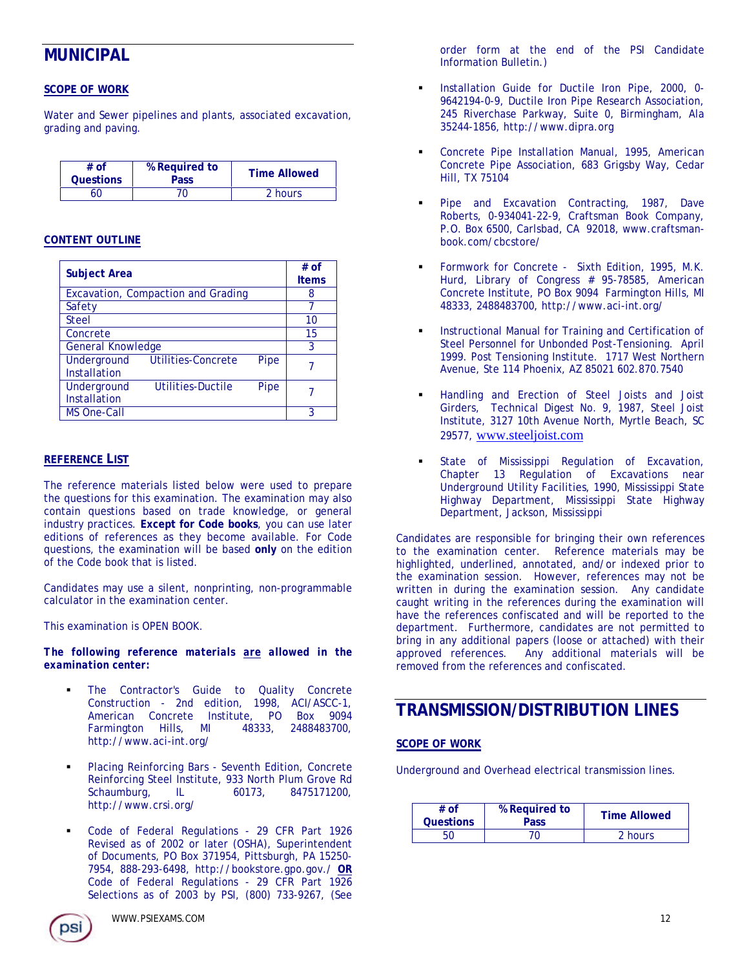### **MUNICIPAL**

### **SCOPE OF WORK**

Water and Sewer pipelines and plants, associated excavation, grading and paving.

| # of<br><b>Questions</b> | % Required to<br>Pass | <b>Time Allowed</b> |  |  |
|--------------------------|-----------------------|---------------------|--|--|
|                          |                       | 2 hours             |  |  |

### **CONTENT OUTLINE**

| <b>Subject Area</b>                                       | $#$ of<br><b>Items</b> |
|-----------------------------------------------------------|------------------------|
| Excavation, Compaction and Grading                        | 8                      |
| Safety                                                    |                        |
| <b>Steel</b>                                              | 10                     |
| Concrete                                                  | 15                     |
| <b>General Knowledge</b>                                  | 3                      |
| Underground<br>Utilities-Concrete<br>Pipe<br>Installation |                        |
| Underground<br>Utilities-Ductile<br>Pipe<br>Installation  |                        |
| <b>MS One-Call</b>                                        | 3                      |

### **REFERENCE LIST**

The reference materials listed below were used to prepare the questions for this examination. The examination may also contain questions based on trade knowledge, or general industry practices. **Except for Code books**, you can use later editions of references as they become available. For Code questions, the examination will be based **only** on the edition of the Code book that is listed.

Candidates may use a silent, nonprinting, non-programmable calculator in the examination center.

This examination is OPEN BOOK.

#### *The following reference materials are allowed in the examination center:*

- ß The Contractor's Guide to Quality Concrete Construction - 2nd edition, 1998, ACI/ASCC-1, American Concrete Institute, PO Box 9094 Farmington Hills, MI http://www.aci-int.org/
- ß Placing Reinforcing Bars Seventh Edition, Concrete Reinforcing Steel Institute, 933 North Plum Grove Rd Schaumburg, IL 60173, 8475171200, http://www.crsi.org/
- ß Code of Federal Regulations 29 CFR Part 1926 Revised as of 2002 or later (OSHA), Superintendent of Documents, PO Box 371954, Pittsburgh, PA 15250- 7954, 888-293-6498, http://bookstore.gpo.gov./ **OR** Code of Federal Regulations - 29 CFR Part 1926 Selections as of 2003 by PSI, (800) 733-9267, (See

order form at the end of the PSI Candidate Information Bulletin.)

- ß Installation Guide for Ductile Iron Pipe, 2000, 0- 9642194-0-9, Ductile Iron Pipe Research Association, 245 Riverchase Parkway, Suite 0, Birmingham, Ala 35244-1856, http://www.dipra.org
- ß Concrete Pipe Installation Manual, 1995, American Concrete Pipe Association, 683 Grigsby Way, Cedar Hill, TX 75104
- Pipe and Excavation Contracting, 1987, Dave Roberts, 0-934041-22-9, Craftsman Book Company, P.O. Box 6500, Carlsbad, CA 92018, www.craftsmanbook.com/cbcstore/
- ß Formwork for Concrete Sixth Edition, 1995, M.K. Hurd, Library of Congress # 95-78585, American Concrete Institute, PO Box 9094 Farmington Hills, MI 48333, 2488483700, http://www.aci-int.org/
- **EXECUTE:** Instructional Manual for Training and Certification of Steel Personnel for Unbonded Post-Tensioning. April 1999. Post Tensioning Institute. 1717 West Northern Avenue, Ste 114 Phoenix, AZ 85021 602.870.7540
- **Handling and Erection of Steel Joists and Joist** Girders, Technical Digest No. 9, 1987, Steel Joist Institute, 3127 10th Avenue North, Myrtle Beach, SC 29577, www.steeljoist.com
- State of Mississippi Regulation of Excavation, Chapter 13 Regulation of Excavations near Underground Utility Facilities, 1990, Mississippi State Highway Department, Mississippi State Highway Department, Jackson, Mississippi

Candidates are responsible for bringing their own references to the examination center. Reference materials may be highlighted, underlined, annotated, and/or indexed prior to the examination session. However, references may not be written in during the examination session. Any candidate caught writing in the references during the examination will have the references confiscated and will be reported to the department. Furthermore, candidates are not permitted to bring in any additional papers (loose or attached) with their<br>approved references. Any additional materials will be Any additional materials will be removed from the references and confiscated.

### **TRANSMISSION/DISTRIBUTION LINES**

### **SCOPE OF WORK**

Underground and Overhead electrical transmission lines.

| # of<br><b>Questions</b> | % Required to<br>Pass | <b>Time Allowed</b> |
|--------------------------|-----------------------|---------------------|
|                          |                       | hours               |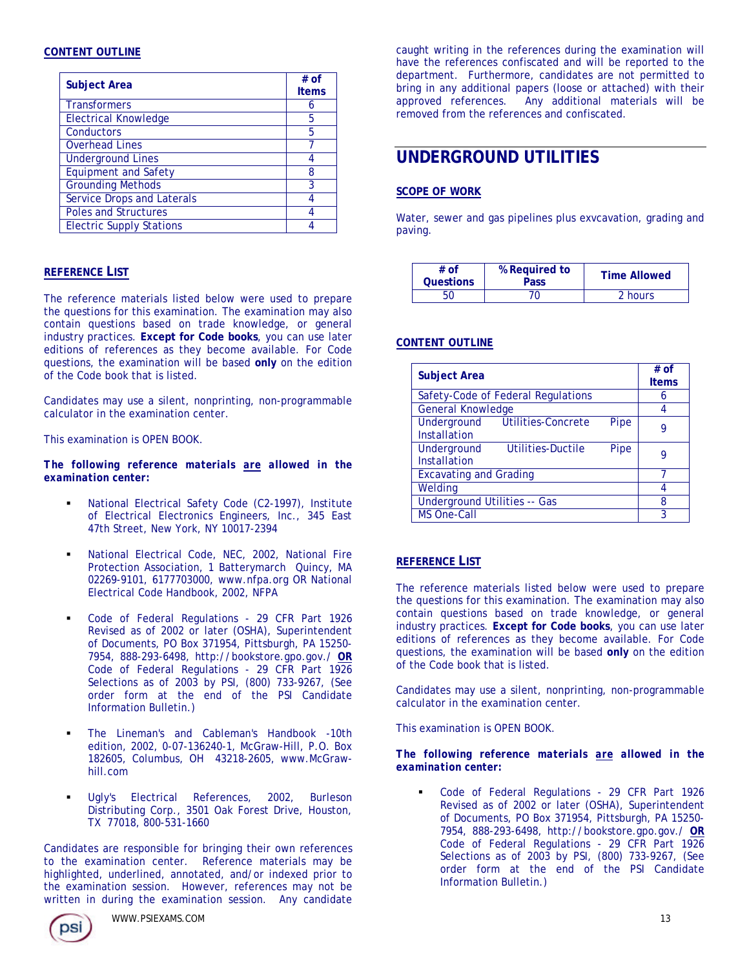### **CONTENT OUTLINE**

| <b>Subject Area</b>               | # of<br><b>Items</b> |
|-----------------------------------|----------------------|
| <b>Transformers</b>               | 6                    |
| <b>Electrical Knowledge</b>       | 5                    |
| <b>Conductors</b>                 | 5                    |
| <b>Overhead Lines</b>             |                      |
| <b>Underground Lines</b>          |                      |
| <b>Equipment and Safety</b>       | 8                    |
| <b>Grounding Methods</b>          | 3                    |
| <b>Service Drops and Laterals</b> |                      |
| <b>Poles and Structures</b>       |                      |
| <b>Electric Supply Stations</b>   |                      |

### **REFERENCE LIST**

The reference materials listed below were used to prepare the questions for this examination. The examination may also contain questions based on trade knowledge, or general industry practices. **Except for Code books**, you can use later editions of references as they become available. For Code questions, the examination will be based **only** on the edition of the Code book that is listed.

Candidates may use a silent, nonprinting, non-programmable calculator in the examination center.

This examination is OPEN BOOK.

*The following reference materials are allowed in the examination center:*

- ß National Electrical Safety Code (C2-1997), Institute of Electrical Electronics Engineers, Inc., 345 East 47th Street, New York, NY 10017-2394
- ß National Electrical Code, NEC, 2002, National Fire Protection Association, 1 Batterymarch Quincy, MA 02269-9101, 6177703000, www.nfpa.org OR National Electrical Code Handbook, 2002, NFPA
- ß Code of Federal Regulations 29 CFR Part 1926 Revised as of 2002 or later (OSHA), Superintendent of Documents, PO Box 371954, Pittsburgh, PA 15250- 7954, 888-293-6498, http://bookstore.gpo.gov./ **OR** Code of Federal Regulations - 29 CFR Part 1926 Selections as of 2003 by PSI, (800) 733-9267, (See order form at the end of the PSI Candidate Information Bulletin.)
- ß The Lineman's and Cableman's Handbook -10th edition, 2002, 0-07-136240-1, McGraw-Hill, P.O. Box 182605, Columbus, OH 43218-2605, www.McGrawhill.com
- ß Ugly's Electrical References, 2002, Burleson Distributing Corp., 3501 Oak Forest Drive, Houston, TX 77018, 800-531-1660

Candidates are responsible for bringing their own references to the examination center. Reference materials may be highlighted, underlined, annotated, and/or indexed prior to the examination session. However, references may not be written in during the examination session. Any candidate

caught writing in the references during the examination will have the references confiscated and will be reported to the department. Furthermore, candidates are not permitted to bring in any additional papers (loose or attached) with their approved references. Any additional materials will be removed from the references and confiscated.

### **UNDERGROUND UTILITIES**

### **SCOPE OF WORK**

Water, sewer and gas pipelines plus exvcavation, grading and paving.

| $#$ of<br><b>Ouestions</b> | % Required to<br>Pass | <b>Time Allowed</b> |
|----------------------------|-----------------------|---------------------|
| 50                         |                       | 2 hours             |

### **CONTENT OUTLINE**

| <b>Subject Area</b>                      | # of<br><b>Items</b> |
|------------------------------------------|----------------------|
| Safety-Code of Federal Regulations       | 6                    |
| <b>General Knowledge</b>                 |                      |
| Underground Utilities-Concrete<br>Pipe   | 9                    |
| <b>Installation</b>                      |                      |
| Utilities-Ductile<br>Underground<br>Pipe | 9                    |
| Installation                             |                      |
| <b>Excavating and Grading</b>            |                      |
| Welding                                  |                      |
| <b>Underground Utilities -- Gas</b>      | 8                    |
| <b>MS One-Call</b>                       | 3                    |

### **REFERENCE LIST**

The reference materials listed below were used to prepare the questions for this examination. The examination may also contain questions based on trade knowledge, or general industry practices. **Except for Code books**, you can use later editions of references as they become available. For Code questions, the examination will be based **only** on the edition of the Code book that is listed.

Candidates may use a silent, nonprinting, non-programmable calculator in the examination center.

This examination is OPEN BOOK.

#### *The following reference materials are allowed in the examination center:*

ß Code of Federal Regulations - 29 CFR Part 1926 Revised as of 2002 or later (OSHA), Superintendent of Documents, PO Box 371954, Pittsburgh, PA 15250- 7954, 888-293-6498, http://bookstore.gpo.gov./ **OR** Code of Federal Regulations - 29 CFR Part 1926 Selections as of 2003 by PSI, (800) 733-9267, (See order form at the end of the PSI Candidate Information Bulletin.)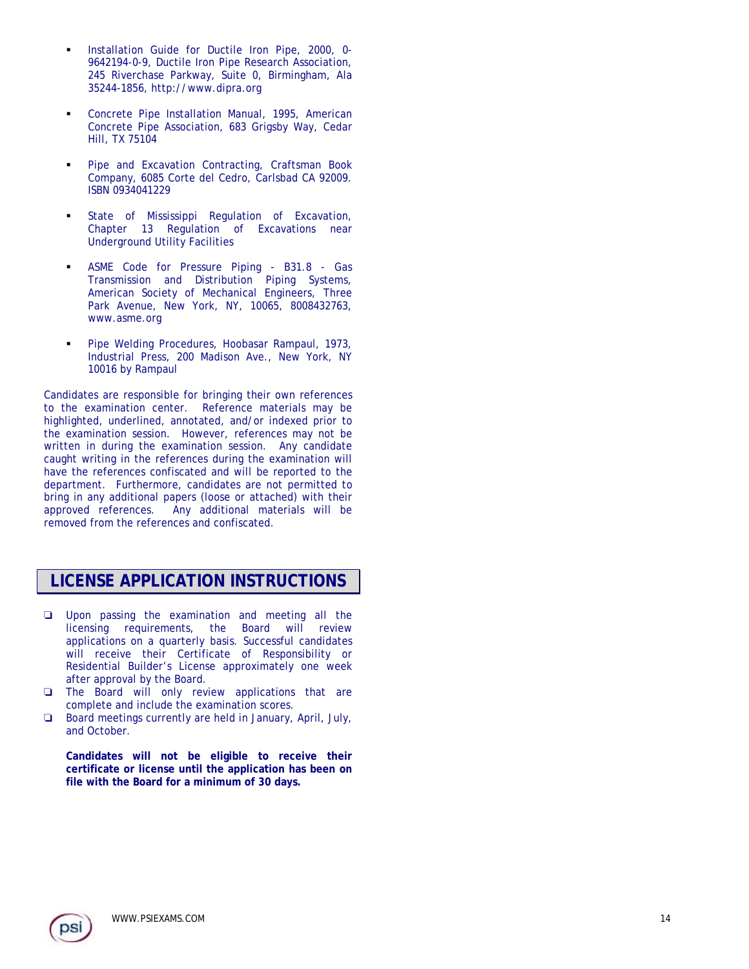- 9642194-0-9, Ductile Iron Pipe Research Association, 245 Riverchase Parkway, Suite 0, Birmingham, Ala 35244-1856, http://www.dipra.org
- ß Concrete Pipe Installation Manual, 1995, American Concrete Pipe Association, 683 Grigsby Way, Cedar Hill, TX 75104
- ß Pipe and Excavation Contracting, Craftsman Book Company, 6085 Corte del Cedro, Carlsbad CA 92009. ISBN 0934041229
- State of Mississippi Regulation of Excavation, Chapter 13 Regulation of Excavations near Underground Utility Facilities
- ß ASME Code for Pressure Piping B31.8 Gas Transmission and Distribution Piping Systems, American Society of Mechanical Engineers, Three Park Avenue, New York, NY, 10065, 8008432763, www.asme.org
- ß Pipe Welding Procedures, Hoobasar Rampaul, 1973, Industrial Press, 200 Madison Ave., New York, NY 10016 by Rampaul

We consider the first interaction of Ductile Terms (We have the constraints of Ductile Iron Pipe, 2000, 0-2000, 0-2000, 0-2000, 0-2000, 0-2000, 0-2000, 0-2000, 0-2000, 0-2000, 0-2000, 0-2000, 0-2000, 0-2000, 0-2000, 0-200 Candidates are responsible for bringing their own references to the examination center. Reference materials may be highlighted, underlined, annotated, and/or indexed prior to the examination session. However, references may not be written in during the examination session. Any candidate caught writing in the references during the examination will have the references confiscated and will be reported to the department. Furthermore, candidates are not permitted to bring in any additional papers (loose or attached) with their approved references. Any additional materials will be removed from the references and confiscated.

### **LICENSE APPLICATION INSTRUCTIONS**

- $\Box$  Upon passing the examination and meeting all the licensing requirements, the Board will review applications on a quarterly basis. Successful candidates will receive their Certificate of Responsibility or Residential Builder's License approximately one week after approval by the Board.
- **E** The Board will only review applications that are complete and include the examination scores.
- $\Box$  Board meetings currently are held in January, April, July, and October.

**Candidates will not be eligible to receive their certificate or license until the application has been on file with the Board for a minimum of 30 days.**

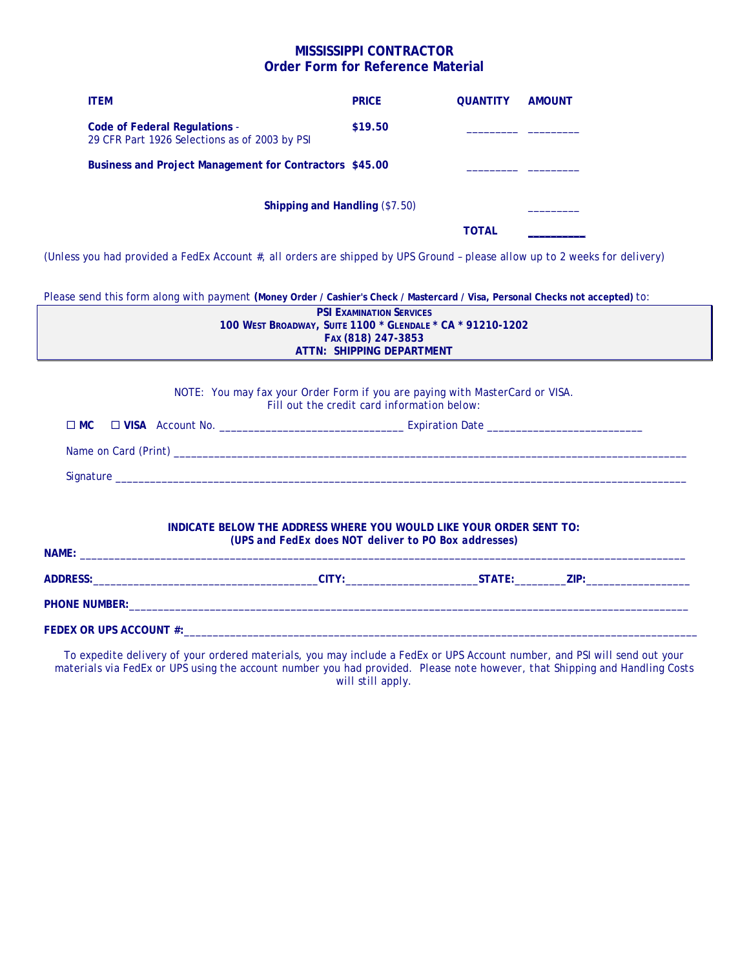### **MISSISSIPPI CONTRACTOR Order Form for Reference Material**

| <b>ITEM</b>                                                                           | <b>PRICE</b> | <b>OUANTITY</b> | <b>AMOUNT</b> |
|---------------------------------------------------------------------------------------|--------------|-----------------|---------------|
| <b>Code of Federal Regulations -</b><br>29 CFR Part 1926 Selections as of 2003 by PSI | \$19.50      |                 |               |
| Business and Project Management for Contractors \$45.00                               |              |                 |               |
| <b>Shipping and Handling (\$7.50)</b>                                                 |              |                 |               |
|                                                                                       |              | <b>TOTAL</b>    |               |

*(Unless you had provided a FedEx Account #, all orders are shipped by UPS Ground – please allow up to 2 weeks for delivery)*

Please send this form along with payment **(Money Order / Cashier's Check / Mastercard / Visa, Personal Checks not accepted)** to:

| <b>PSI EXAMINATION SERVICES</b>                            |  |  |  |  |
|------------------------------------------------------------|--|--|--|--|
| 100 WEST BROADWAY, SUITE 1100 * GLENDALE * CA * 91210-1202 |  |  |  |  |
| FAX (818) 247-3853                                         |  |  |  |  |
| ATTN: SHIPPING DEPARTMENT                                  |  |  |  |  |

|  | NOTE: You may fax your Order Form if you are paying with MasterCard or VISA.<br>Fill out the credit card information below: |  |
|--|-----------------------------------------------------------------------------------------------------------------------------|--|
|  |                                                                                                                             |  |
|  |                                                                                                                             |  |
|  |                                                                                                                             |  |
|  |                                                                                                                             |  |
|  | INDICATE BELOW THE ADDRESS WHERE YOU WOULD LIKE YOUR ORDER SENT TO:<br>(UPS and FedEx does NOT deliver to PO Box addresses) |  |
|  |                                                                                                                             |  |
|  |                                                                                                                             |  |
|  |                                                                                                                             |  |
|  | To expedite delivery of your erdered materials, you may include a FodEy or UDS Asseyut number, and DSI will send out your   |  |

*To expedite delivery of your ordered materials, you may include a FedEx or UPS Account number, and PSI will send out your materials via FedEx or UPS using the account number you had provided. Please note however, that Shipping and Handling Costs will still apply.*